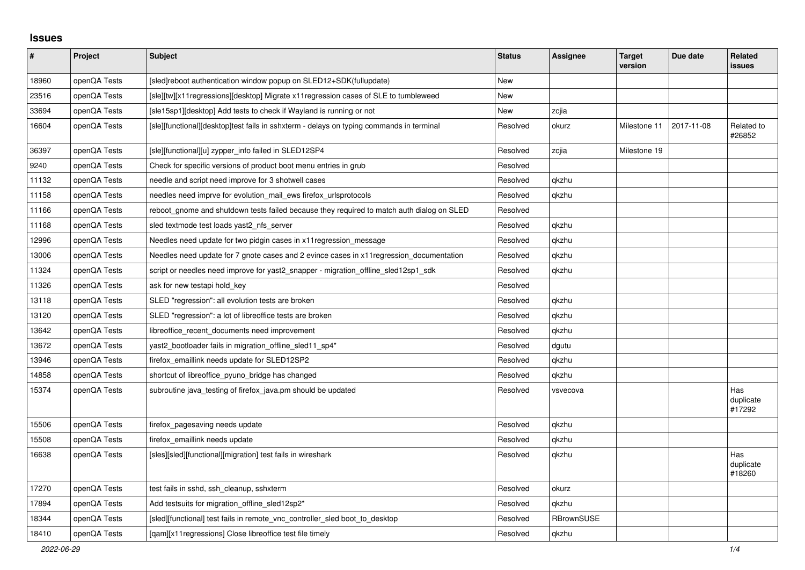## **Issues**

| $\pmb{\#}$ | Project      | <b>Subject</b>                                                                            | <b>Status</b> | <b>Assignee</b> | <b>Target</b><br>version | Due date   | <b>Related</b><br><b>issues</b> |
|------------|--------------|-------------------------------------------------------------------------------------------|---------------|-----------------|--------------------------|------------|---------------------------------|
| 18960      | openQA Tests | [sled]reboot authentication window popup on SLED12+SDK(fullupdate)                        | New           |                 |                          |            |                                 |
| 23516      | openQA Tests | [sle][tw][x11regressions][desktop] Migrate x11regression cases of SLE to tumbleweed       | New           |                 |                          |            |                                 |
| 33694      | openQA Tests | [sle15sp1][desktop] Add tests to check if Wayland is running or not                       | <b>New</b>    | zcjia           |                          |            |                                 |
| 16604      | openQA Tests | [sle][functional][desktop]test fails in sshxterm - delays on typing commands in terminal  | Resolved      | okurz           | Milestone 11             | 2017-11-08 | Related to<br>#26852            |
| 36397      | openQA Tests | [sle][functional][u] zypper_info failed in SLED12SP4                                      | Resolved      | zcjia           | Milestone 19             |            |                                 |
| 9240       | openQA Tests | Check for specific versions of product boot menu entries in grub                          | Resolved      |                 |                          |            |                                 |
| 11132      | openQA Tests | needle and script need improve for 3 shotwell cases                                       | Resolved      | qkzhu           |                          |            |                                 |
| 11158      | openQA Tests | needles need imprve for evolution mail ews firefox urlsprotocols                          | Resolved      | qkzhu           |                          |            |                                 |
| 11166      | openQA Tests | reboot gnome and shutdown tests failed because they required to match auth dialog on SLED | Resolved      |                 |                          |            |                                 |
| 11168      | openQA Tests | sled textmode test loads yast2 nfs server                                                 | Resolved      | qkzhu           |                          |            |                                 |
| 12996      | openQA Tests | Needles need update for two pidgin cases in x11 regression message                        | Resolved      | qkzhu           |                          |            |                                 |
| 13006      | openQA Tests | Needles need update for 7 gnote cases and 2 evince cases in x11 regression documentation  | Resolved      | qkzhu           |                          |            |                                 |
| 11324      | openQA Tests | script or needles need improve for yast2_snapper - migration_offline_sled12sp1_sdk        | Resolved      | qkzhu           |                          |            |                                 |
| 11326      | openQA Tests | ask for new testapi hold_key                                                              | Resolved      |                 |                          |            |                                 |
| 13118      | openQA Tests | SLED "regression": all evolution tests are broken                                         | Resolved      | qkzhu           |                          |            |                                 |
| 13120      | openQA Tests | SLED "regression": a lot of libreoffice tests are broken                                  | Resolved      | qkzhu           |                          |            |                                 |
| 13642      | openQA Tests | libreoffice recent documents need improvement                                             | Resolved      | qkzhu           |                          |            |                                 |
| 13672      | openQA Tests | yast2_bootloader fails in migration_offline_sled11_sp4*                                   | Resolved      | dgutu           |                          |            |                                 |
| 13946      | openQA Tests | firefox emaillink needs update for SLED12SP2                                              | Resolved      | qkzhu           |                          |            |                                 |
| 14858      | openQA Tests | shortcut of libreoffice pyuno bridge has changed                                          | Resolved      | qkzhu           |                          |            |                                 |
| 15374      | openQA Tests | subroutine java_testing of firefox_java.pm should be updated                              | Resolved      | vsvecova        |                          |            | Has<br>duplicate<br>#17292      |
| 15506      | openQA Tests | firefox_pagesaving needs update                                                           | Resolved      | qkzhu           |                          |            |                                 |
| 15508      | openQA Tests | firefox emaillink needs update                                                            | Resolved      | qkzhu           |                          |            |                                 |
| 16638      | openQA Tests | [sles][sled][functional][migration] test fails in wireshark                               | Resolved      | qkzhu           |                          |            | Has<br>duplicate<br>#18260      |
| 17270      | openQA Tests | test fails in sshd, ssh cleanup, sshxterm                                                 | Resolved      | okurz           |                          |            |                                 |
| 17894      | openQA Tests | Add testsuits for migration offline sled12sp2*                                            | Resolved      | qkzhu           |                          |            |                                 |
| 18344      | openQA Tests | [sled][functional] test fails in remote vnc controller sled boot to desktop               | Resolved      | RBrownSUSE      |                          |            |                                 |
| 18410      | openQA Tests | [gam][x11 regressions] Close libreoffice test file timely                                 | Resolved      | gkzhu           |                          |            |                                 |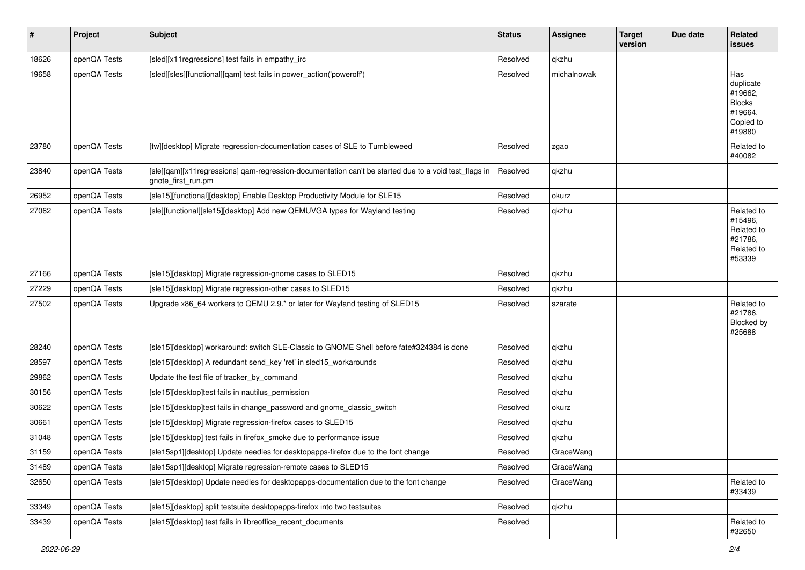| $\vert$ # | Project      | <b>Subject</b>                                                                                                             | <b>Status</b> | <b>Assignee</b> | <b>Target</b><br>version | Due date | Related<br><b>issues</b>                                                       |
|-----------|--------------|----------------------------------------------------------------------------------------------------------------------------|---------------|-----------------|--------------------------|----------|--------------------------------------------------------------------------------|
| 18626     | openQA Tests | [sled][x11regressions] test fails in empathy_irc                                                                           | Resolved      | qkzhu           |                          |          |                                                                                |
| 19658     | openQA Tests | [sled][sles][functional][qam] test fails in power action('poweroff')                                                       | Resolved      | michalnowak     |                          |          | Has<br>duplicate<br>#19662,<br><b>Blocks</b><br>#19664,<br>Copied to<br>#19880 |
| 23780     | openQA Tests | [tw][desktop] Migrate regression-documentation cases of SLE to Tumbleweed                                                  | Resolved      | zgao            |                          |          | Related to<br>#40082                                                           |
| 23840     | openQA Tests | [sle][qam][x11regressions] qam-regression-documentation can't be started due to a void test_flags in<br>gnote_first_run.pm | Resolved      | qkzhu           |                          |          |                                                                                |
| 26952     | openQA Tests | [sle15][functional][desktop] Enable Desktop Productivity Module for SLE15                                                  | Resolved      | okurz           |                          |          |                                                                                |
| 27062     | openQA Tests | [sle][functional][sle15][desktop] Add new QEMUVGA types for Wayland testing                                                | Resolved      | qkzhu           |                          |          | Related to<br>#15496.<br>Related to<br>#21786,<br>Related to<br>#53339         |
| 27166     | openQA Tests | [sle15][desktop] Migrate regression-gnome cases to SLED15                                                                  | Resolved      | qkzhu           |                          |          |                                                                                |
| 27229     | openQA Tests | [sle15][desktop] Migrate regression-other cases to SLED15                                                                  | Resolved      | qkzhu           |                          |          |                                                                                |
| 27502     | openQA Tests | Upgrade x86 64 workers to QEMU 2.9. <sup>*</sup> or later for Wayland testing of SLED15                                    | Resolved      | szarate         |                          |          | Related to<br>#21786,<br>Blocked by<br>#25688                                  |
| 28240     | openQA Tests | [sle15][desktop] workaround: switch SLE-Classic to GNOME Shell before fate#324384 is done                                  | Resolved      | qkzhu           |                          |          |                                                                                |
| 28597     | openQA Tests | [sle15][desktop] A redundant send_key 'ret' in sled15_workarounds                                                          | Resolved      | qkzhu           |                          |          |                                                                                |
| 29862     | openQA Tests | Update the test file of tracker_by_command                                                                                 | Resolved      | qkzhu           |                          |          |                                                                                |
| 30156     | openQA Tests | [sle15][desktop]test fails in nautilus_permission                                                                          | Resolved      | qkzhu           |                          |          |                                                                                |
| 30622     | openQA Tests | [sle15][desktop]test fails in change password and gnome classic switch                                                     | Resolved      | okurz           |                          |          |                                                                                |
| 30661     | openQA Tests | [sle15][desktop] Migrate regression-firefox cases to SLED15                                                                | Resolved      | qkzhu           |                          |          |                                                                                |
| 31048     | openQA Tests | [sle15][desktop] test fails in firefox smoke due to performance issue                                                      | Resolved      | qkzhu           |                          |          |                                                                                |
| 31159     | openQA Tests | [sle15sp1][desktop] Update needles for desktopapps-firefox due to the font change                                          | Resolved      | GraceWang       |                          |          |                                                                                |
| 31489     | openQA Tests | [sle15sp1][desktop] Migrate regression-remote cases to SLED15                                                              | Resolved      | GraceWang       |                          |          |                                                                                |
| 32650     | openQA Tests | [sle15][desktop] Update needles for desktopapps-documentation due to the font change                                       | Resolved      | GraceWang       |                          |          | Related to<br>#33439                                                           |
| 33349     | openQA Tests | [sle15][desktop] split testsuite desktopapps-firefox into two testsuites                                                   | Resolved      | qkzhu           |                          |          |                                                                                |
| 33439     | openQA Tests | [sle15][desktop] test fails in libreoffice_recent_documents                                                                | Resolved      |                 |                          |          | Related to<br>#32650                                                           |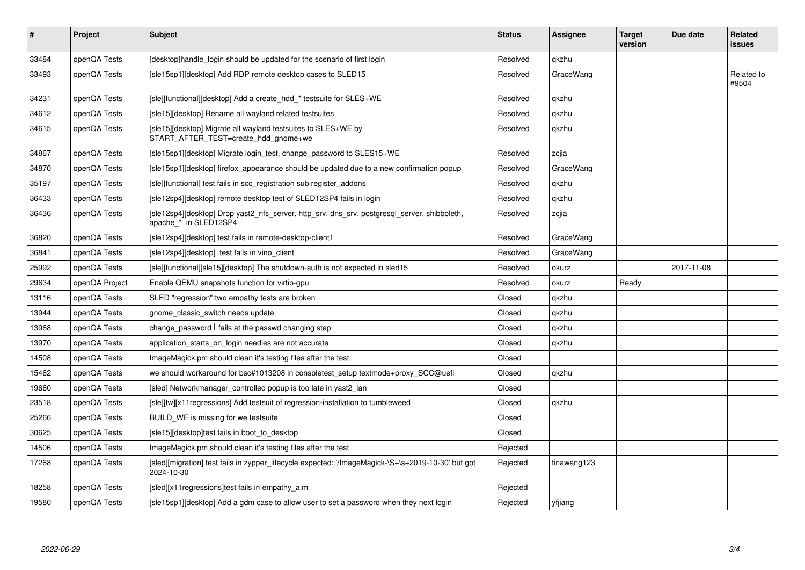| #     | Project        | <b>Subject</b>                                                                                                        | <b>Status</b> | <b>Assignee</b> | <b>Target</b><br>version | Due date   | Related<br><b>issues</b> |
|-------|----------------|-----------------------------------------------------------------------------------------------------------------------|---------------|-----------------|--------------------------|------------|--------------------------|
| 33484 | openQA Tests   | [desktop]handle login should be updated for the scenario of first login                                               | Resolved      | gkzhu           |                          |            |                          |
| 33493 | openQA Tests   | [sle15sp1][desktop] Add RDP remote desktop cases to SLED15                                                            | Resolved      | GraceWang       |                          |            | Related to<br>#9504      |
| 34231 | openQA Tests   | [sle][functional][desktop] Add a create hdd * testsuite for SLES+WE                                                   | Resolved      | qkzhu           |                          |            |                          |
| 34612 | openQA Tests   | [sle15][desktop] Rename all wayland related testsuites                                                                | Resolved      | qkzhu           |                          |            |                          |
| 34615 | openQA Tests   | [sle15][desktop] Migrate all wayland testsuites to SLES+WE by<br>START_AFTER_TEST=create_hdd_gnome+we                 | Resolved      | qkzhu           |                          |            |                          |
| 34867 | openQA Tests   | [sle15sp1][desktop] Migrate login test, change password to SLES15+WE                                                  | Resolved      | zcjia           |                          |            |                          |
| 34870 | openQA Tests   | [sle15sp1][desktop] firefox appearance should be updated due to a new confirmation popup                              | Resolved      | GraceWang       |                          |            |                          |
| 35197 | openQA Tests   | [sle][functional] test fails in scc registration sub register addons                                                  | Resolved      | qkzhu           |                          |            |                          |
| 36433 | openQA Tests   | [sle12sp4][desktop] remote desktop test of SLED12SP4 fails in login                                                   | Resolved      | qkzhu           |                          |            |                          |
| 36436 | openQA Tests   | [sle12sp4][desktop] Drop yast2_nfs_server, http_srv, dns_srv, postgresql_server, shibboleth,<br>apache_* in SLED12SP4 | Resolved      | zcjia           |                          |            |                          |
| 36820 | openQA Tests   | [sle12sp4][desktop] test fails in remote-desktop-client1                                                              | Resolved      | GraceWang       |                          |            |                          |
| 36841 | openQA Tests   | [sle12sp4][desktop] test fails in vino_client                                                                         | Resolved      | GraceWang       |                          |            |                          |
| 25992 | openQA Tests   | [sle][functional][sle15][desktop] The shutdown-auth is not expected in sled15                                         | Resolved      | okurz           |                          | 2017-11-08 |                          |
| 29634 | openQA Project | Enable QEMU snapshots function for virtio-gpu                                                                         | Resolved      | okurz           | Ready                    |            |                          |
| 13116 | openQA Tests   | SLED "regression": two empathy tests are broken                                                                       | Closed        | qkzhu           |                          |            |                          |
| 13944 | openQA Tests   | gnome classic switch needs update                                                                                     | Closed        | qkzhu           |                          |            |                          |
| 13968 | openQA Tests   | change_password <i>liails</i> at the passwd changing step                                                             | Closed        | qkzhu           |                          |            |                          |
| 13970 | openQA Tests   | application_starts_on_login needles are not accurate                                                                  | Closed        | qkzhu           |                          |            |                          |
| 14508 | openQA Tests   | ImageMagick.pm should clean it's testing files after the test                                                         | Closed        |                 |                          |            |                          |
| 15462 | openQA Tests   | we should workaround for bsc#1013208 in consoletest setup textmode+proxy SCC@uefi                                     | Closed        | qkzhu           |                          |            |                          |
| 19660 | openQA Tests   | [sled] Networkmanager controlled popup is too late in yast2 lan                                                       | Closed        |                 |                          |            |                          |
| 23518 | openQA Tests   | [sle][tw][x11regressions] Add testsuit of regression-installation to tumbleweed                                       | Closed        | qkzhu           |                          |            |                          |
| 25266 | openQA Tests   | BUILD WE is missing for we testsuite                                                                                  | Closed        |                 |                          |            |                          |
| 30625 | openQA Tests   | [sle15][desktop]test fails in boot to desktop                                                                         | Closed        |                 |                          |            |                          |
| 14506 | openQA Tests   | ImageMagick.pm should clean it's testing files after the test                                                         | Rejected      |                 |                          |            |                          |
| 17268 | openQA Tests   | [sled][migration] test fails in zypper_lifecycle expected: '/ImageMagick-\S+\s+2019-10-30' but got<br>2024-10-30      | Rejected      | tinawang123     |                          |            |                          |
| 18258 | openQA Tests   | [sled][x11 regressions]test fails in empathy aim                                                                      | Rejected      |                 |                          |            |                          |
| 19580 | openQA Tests   | [sle15sp1][desktop] Add a gdm case to allow user to set a password when they next login                               | Rejected      | yfjiang         |                          |            |                          |